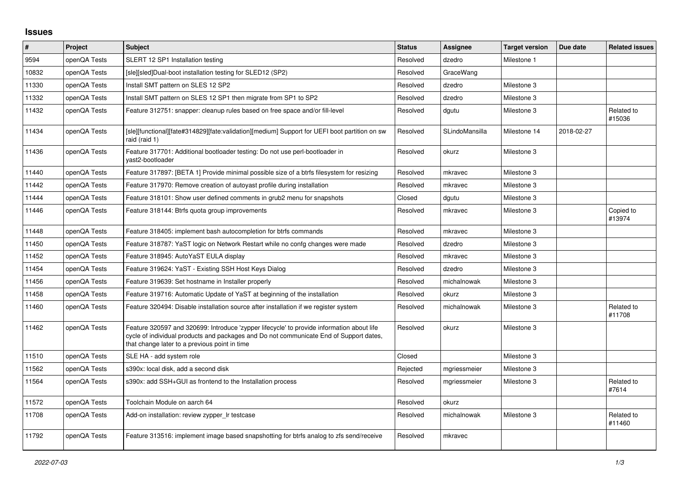## **Issues**

| $\vert$ # | <b>Project</b> | <b>Subject</b>                                                                                                                                                                                                                       | <b>Status</b> | Assignee       | <b>Target version</b> | Due date   | <b>Related issues</b> |
|-----------|----------------|--------------------------------------------------------------------------------------------------------------------------------------------------------------------------------------------------------------------------------------|---------------|----------------|-----------------------|------------|-----------------------|
| 9594      | openQA Tests   | SLERT 12 SP1 Installation testing                                                                                                                                                                                                    | Resolved      | dzedro         | Milestone 1           |            |                       |
| 10832     | openQA Tests   | [sle][sled]Dual-boot installation testing for SLED12 (SP2)                                                                                                                                                                           | Resolved      | GraceWang      |                       |            |                       |
| 11330     | openQA Tests   | Install SMT pattern on SLES 12 SP2                                                                                                                                                                                                   | Resolved      | dzedro         | Milestone 3           |            |                       |
| 11332     | openQA Tests   | Install SMT pattern on SLES 12 SP1 then migrate from SP1 to SP2                                                                                                                                                                      | Resolved      | dzedro         | Milestone 3           |            |                       |
| 11432     | openQA Tests   | Feature 312751: snapper: cleanup rules based on free space and/or fill-level                                                                                                                                                         | Resolved      | dgutu          | Milestone 3           |            | Related to<br>#15036  |
| 11434     | openQA Tests   | [sle][functional][fate#314829][fate:validation][medium] Support for UEFI boot partition on sw<br>raid (raid 1)                                                                                                                       | Resolved      | SLindoMansilla | Milestone 14          | 2018-02-27 |                       |
| 11436     | openQA Tests   | Feature 317701: Additional bootloader testing: Do not use perl-bootloader in<br>vast2-bootloader                                                                                                                                     | Resolved      | okurz          | Milestone 3           |            |                       |
| 11440     | openQA Tests   | Feature 317897: [BETA 1] Provide minimal possible size of a btrfs filesystem for resizing                                                                                                                                            | Resolved      | mkravec        | Milestone 3           |            |                       |
| 11442     | openQA Tests   | Feature 317970: Remove creation of autoyast profile during installation                                                                                                                                                              | Resolved      | mkravec        | Milestone 3           |            |                       |
| 11444     | openQA Tests   | Feature 318101: Show user defined comments in grub2 menu for snapshots                                                                                                                                                               | Closed        | dgutu          | Milestone 3           |            |                       |
| 11446     | openQA Tests   | Feature 318144: Btrfs quota group improvements                                                                                                                                                                                       | Resolved      | mkravec        | Milestone 3           |            | Copied to<br>#13974   |
| 11448     | openQA Tests   | Feature 318405: implement bash autocompletion for btrfs commands                                                                                                                                                                     | Resolved      | mkravec        | Milestone 3           |            |                       |
| 11450     | openQA Tests   | Feature 318787: YaST logic on Network Restart while no confg changes were made                                                                                                                                                       | Resolved      | dzedro         | Milestone 3           |            |                       |
| 11452     | openQA Tests   | Feature 318945: AutoYaST EULA display                                                                                                                                                                                                | Resolved      | mkravec        | Milestone 3           |            |                       |
| 11454     | openQA Tests   | Feature 319624: YaST - Existing SSH Host Keys Dialog                                                                                                                                                                                 | Resolved      | dzedro         | Milestone 3           |            |                       |
| 11456     | openQA Tests   | Feature 319639: Set hostname in Installer properly                                                                                                                                                                                   | Resolved      | michalnowak    | Milestone 3           |            |                       |
| 11458     | openQA Tests   | Feature 319716: Automatic Update of YaST at beginning of the installation                                                                                                                                                            | Resolved      | okurz          | Milestone 3           |            |                       |
| 11460     | openQA Tests   | Feature 320494: Disable installation source after installation if we register system                                                                                                                                                 | Resolved      | michalnowak    | Milestone 3           |            | Related to<br>#11708  |
| 11462     | openQA Tests   | Feature 320597 and 320699: Introduce 'zypper lifecycle' to provide information about life<br>cycle of individual products and packages and Do not communicate End of Support dates,<br>that change later to a previous point in time | Resolved      | okurz          | Milestone 3           |            |                       |
| 11510     | openQA Tests   | SLE HA - add system role                                                                                                                                                                                                             | Closed        |                | Milestone 3           |            |                       |
| 11562     | openQA Tests   | s390x: local disk, add a second disk                                                                                                                                                                                                 | Rejected      | mgriessmeier   | Milestone 3           |            |                       |
| 11564     | openQA Tests   | s390x: add SSH+GUI as frontend to the Installation process                                                                                                                                                                           | Resolved      | mgriessmeier   | Milestone 3           |            | Related to<br>#7614   |
| 11572     | openQA Tests   | Toolchain Module on aarch 64                                                                                                                                                                                                         | Resolved      | okurz          |                       |            |                       |
| 11708     | openQA Tests   | Add-on installation: review zypper_Ir testcase                                                                                                                                                                                       | Resolved      | michalnowak    | Milestone 3           |            | Related to<br>#11460  |
| 11792     | openQA Tests   | Feature 313516: implement image based snapshotting for btrfs analog to zfs send/receive                                                                                                                                              | Resolved      | mkravec        |                       |            |                       |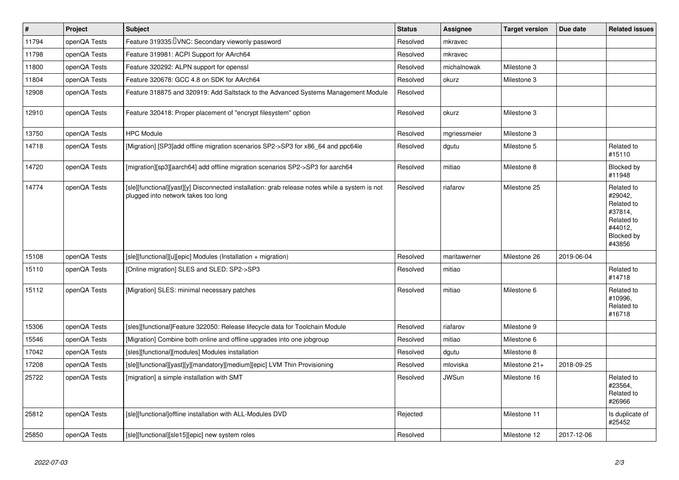| #     | Project      | <b>Subject</b>                                                                                                                        | <b>Status</b> | Assignee     | <b>Target version</b> | Due date   | <b>Related issues</b>                                                                           |
|-------|--------------|---------------------------------------------------------------------------------------------------------------------------------------|---------------|--------------|-----------------------|------------|-------------------------------------------------------------------------------------------------|
| 11794 | openQA Tests | Feature 319335: UNC: Secondary viewonly password                                                                                      | Resolved      | mkravec      |                       |            |                                                                                                 |
| 11798 | openQA Tests | Feature 319981: ACPI Support for AArch64                                                                                              | Resolved      | mkravec      |                       |            |                                                                                                 |
| 11800 | openQA Tests | Feature 320292: ALPN support for openssl                                                                                              | Resolved      | michalnowak  | Milestone 3           |            |                                                                                                 |
| 11804 | openQA Tests | Feature 320678: GCC 4.8 on SDK for AArch64                                                                                            | Resolved      | okurz        | Milestone 3           |            |                                                                                                 |
| 12908 | openQA Tests | Feature 318875 and 320919: Add Saltstack to the Advanced Systems Management Module                                                    | Resolved      |              |                       |            |                                                                                                 |
| 12910 | openQA Tests | Feature 320418: Proper placement of "encrypt filesystem" option                                                                       | Resolved      | okurz        | Milestone 3           |            |                                                                                                 |
| 13750 | openQA Tests | <b>HPC Module</b>                                                                                                                     | Resolved      | mgriessmeier | Milestone 3           |            |                                                                                                 |
| 14718 | openQA Tests | [Migration] [SP3]add offline migration scenarios SP2->SP3 for x86 64 and ppc64le                                                      | Resolved      | dgutu        | Milestone 5           |            | Related to<br>#15110                                                                            |
| 14720 | openQA Tests | [migration][sp3][aarch64] add offline migration scenarios SP2->SP3 for aarch64                                                        | Resolved      | mitiao       | Milestone 8           |            | Blocked by<br>#11948                                                                            |
| 14774 | openQA Tests | [sle][functional][yast][y] Disconnected installation: grab release notes while a system is not<br>plugged into network takes too long | Resolved      | riafarov     | Milestone 25          |            | Related to<br>#29042,<br>Related to<br>#37814,<br>Related to<br>#44012,<br>Blocked by<br>#43856 |
| 15108 | openQA Tests | [sle][functional][u][epic] Modules (Installation + migration)                                                                         | Resolved      | maritawerner | Milestone 26          | 2019-06-04 |                                                                                                 |
| 15110 | openQA Tests | [Online migration] SLES and SLED: SP2->SP3                                                                                            | Resolved      | mitiao       |                       |            | Related to<br>#14718                                                                            |
| 15112 | openQA Tests | [Migration] SLES: minimal necessary patches                                                                                           | Resolved      | mitiao       | Milestone 6           |            | Related to<br>#10996,<br>Related to<br>#16718                                                   |
| 15306 | openQA Tests | [sles][functional]Feature 322050: Release lifecycle data for Toolchain Module                                                         | Resolved      | riafarov     | Milestone 9           |            |                                                                                                 |
| 15546 | openQA Tests | [Migration] Combine both online and offline upgrades into one jobgroup                                                                | Resolved      | mitiao       | Milestone 6           |            |                                                                                                 |
| 17042 | openQA Tests | [sles][functional][modules] Modules installation                                                                                      | Resolved      | dgutu        | Milestone 8           |            |                                                                                                 |
| 17208 | openQA Tests | [sle][functional][yast][y][mandatory][medium][epic] LVM Thin Provisioning                                                             | Resolved      | mloviska     | Milestone 21+         | 2018-09-25 |                                                                                                 |
| 25722 | openQA Tests | [migration] a simple installation with SMT                                                                                            | Resolved      | <b>JWSun</b> | Milestone 16          |            | Related to<br>#23564,<br>Related to<br>#26966                                                   |
| 25812 | openQA Tests | [sle][functional]offline installation with ALL-Modules DVD                                                                            | Rejected      |              | Milestone 11          |            | Is duplicate of<br>#25452                                                                       |
| 25850 | openQA Tests | [sle][functional][sle15][epic] new system roles                                                                                       | Resolved      |              | Milestone 12          | 2017-12-06 |                                                                                                 |